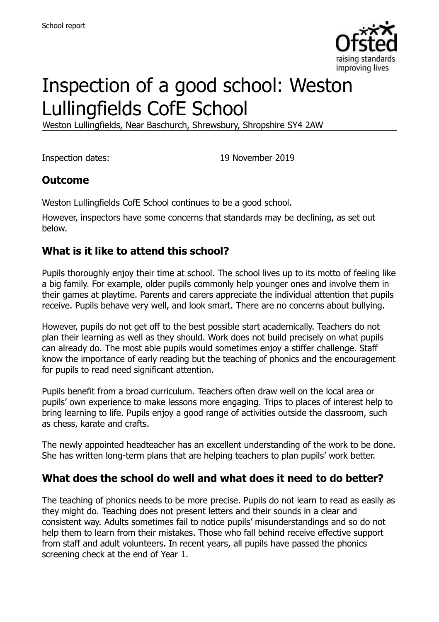

# Inspection of a good school: Weston Lullingfields CofE School

Weston Lullingfields, Near Baschurch, Shrewsbury, Shropshire SY4 2AW

Inspection dates: 19 November 2019

#### **Outcome**

Weston Lullingfields CofE School continues to be a good school.

However, inspectors have some concerns that standards may be declining, as set out below.

#### **What is it like to attend this school?**

Pupils thoroughly enjoy their time at school. The school lives up to its motto of feeling like a big family. For example, older pupils commonly help younger ones and involve them in their games at playtime. Parents and carers appreciate the individual attention that pupils receive. Pupils behave very well, and look smart. There are no concerns about bullying.

However, pupils do not get off to the best possible start academically. Teachers do not plan their learning as well as they should. Work does not build precisely on what pupils can already do. The most able pupils would sometimes enjoy a stiffer challenge. Staff know the importance of early reading but the teaching of phonics and the encouragement for pupils to read need significant attention.

Pupils benefit from a broad curriculum. Teachers often draw well on the local area or pupils' own experience to make lessons more engaging. Trips to places of interest help to bring learning to life. Pupils enjoy a good range of activities outside the classroom, such as chess, karate and crafts.

The newly appointed headteacher has an excellent understanding of the work to be done. She has written long-term plans that are helping teachers to plan pupils' work better.

#### **What does the school do well and what does it need to do better?**

The teaching of phonics needs to be more precise. Pupils do not learn to read as easily as they might do. Teaching does not present letters and their sounds in a clear and consistent way. Adults sometimes fail to notice pupils' misunderstandings and so do not help them to learn from their mistakes. Those who fall behind receive effective support from staff and adult volunteers. In recent years, all pupils have passed the phonics screening check at the end of Year 1.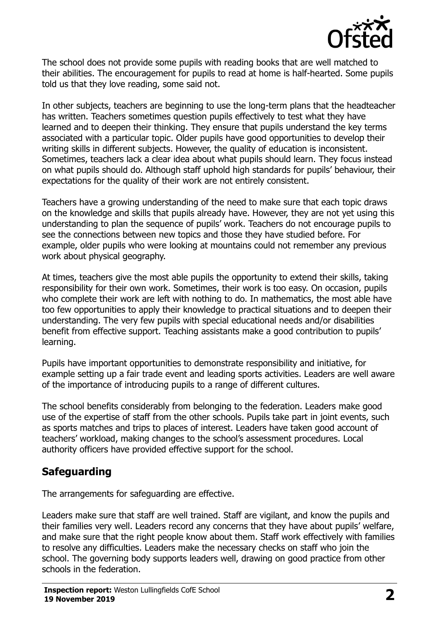

The school does not provide some pupils with reading books that are well matched to their abilities. The encouragement for pupils to read at home is half-hearted. Some pupils told us that they love reading, some said not.

In other subjects, teachers are beginning to use the long-term plans that the headteacher has written. Teachers sometimes question pupils effectively to test what they have learned and to deepen their thinking. They ensure that pupils understand the key terms associated with a particular topic. Older pupils have good opportunities to develop their writing skills in different subjects. However, the quality of education is inconsistent. Sometimes, teachers lack a clear idea about what pupils should learn. They focus instead on what pupils should do. Although staff uphold high standards for pupils' behaviour, their expectations for the quality of their work are not entirely consistent.

Teachers have a growing understanding of the need to make sure that each topic draws on the knowledge and skills that pupils already have. However, they are not yet using this understanding to plan the sequence of pupils' work. Teachers do not encourage pupils to see the connections between new topics and those they have studied before. For example, older pupils who were looking at mountains could not remember any previous work about physical geography.

At times, teachers give the most able pupils the opportunity to extend their skills, taking responsibility for their own work. Sometimes, their work is too easy. On occasion, pupils who complete their work are left with nothing to do. In mathematics, the most able have too few opportunities to apply their knowledge to practical situations and to deepen their understanding. The very few pupils with special educational needs and/or disabilities benefit from effective support. Teaching assistants make a good contribution to pupils' learning.

Pupils have important opportunities to demonstrate responsibility and initiative, for example setting up a fair trade event and leading sports activities. Leaders are well aware of the importance of introducing pupils to a range of different cultures.

The school benefits considerably from belonging to the federation. Leaders make good use of the expertise of staff from the other schools. Pupils take part in joint events, such as sports matches and trips to places of interest. Leaders have taken good account of teachers' workload, making changes to the school's assessment procedures. Local authority officers have provided effective support for the school.

#### **Safeguarding**

The arrangements for safeguarding are effective.

Leaders make sure that staff are well trained. Staff are vigilant, and know the pupils and their families very well. Leaders record any concerns that they have about pupils' welfare, and make sure that the right people know about them. Staff work effectively with families to resolve any difficulties. Leaders make the necessary checks on staff who join the school. The governing body supports leaders well, drawing on good practice from other schools in the federation.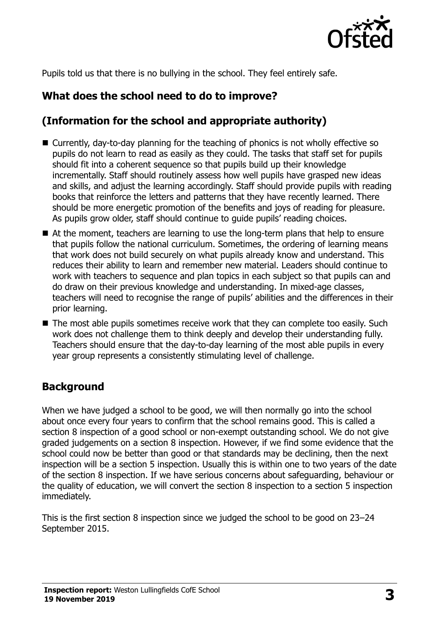

Pupils told us that there is no bullying in the school. They feel entirely safe.

## **What does the school need to do to improve?**

## **(Information for the school and appropriate authority)**

- Currently, day-to-day planning for the teaching of phonics is not wholly effective so pupils do not learn to read as easily as they could. The tasks that staff set for pupils should fit into a coherent sequence so that pupils build up their knowledge incrementally. Staff should routinely assess how well pupils have grasped new ideas and skills, and adjust the learning accordingly. Staff should provide pupils with reading books that reinforce the letters and patterns that they have recently learned. There should be more energetic promotion of the benefits and joys of reading for pleasure. As pupils grow older, staff should continue to guide pupils' reading choices.
- At the moment, teachers are learning to use the long-term plans that help to ensure that pupils follow the national curriculum. Sometimes, the ordering of learning means that work does not build securely on what pupils already know and understand. This reduces their ability to learn and remember new material. Leaders should continue to work with teachers to sequence and plan topics in each subject so that pupils can and do draw on their previous knowledge and understanding. In mixed-age classes, teachers will need to recognise the range of pupils' abilities and the differences in their prior learning.
- The most able pupils sometimes receive work that they can complete too easily. Such work does not challenge them to think deeply and develop their understanding fully. Teachers should ensure that the day-to-day learning of the most able pupils in every year group represents a consistently stimulating level of challenge.

#### **Background**

When we have judged a school to be good, we will then normally go into the school about once every four years to confirm that the school remains good. This is called a section 8 inspection of a good school or non-exempt outstanding school. We do not give graded judgements on a section 8 inspection. However, if we find some evidence that the school could now be better than good or that standards may be declining, then the next inspection will be a section 5 inspection. Usually this is within one to two years of the date of the section 8 inspection. If we have serious concerns about safeguarding, behaviour or the quality of education, we will convert the section 8 inspection to a section 5 inspection immediately.

This is the first section 8 inspection since we judged the school to be good on 23–24 September 2015.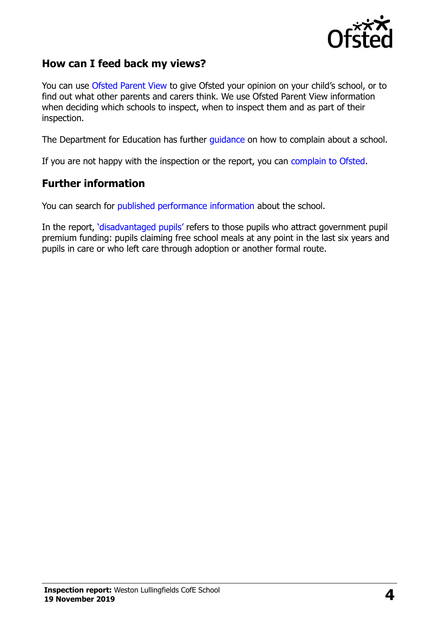

#### **How can I feed back my views?**

You can use [Ofsted Parent View](https://parentview.ofsted.gov.uk/) to give Ofsted your opinion on your child's school, or to find out what other parents and carers think. We use Ofsted Parent View information when deciding which schools to inspect, when to inspect them and as part of their inspection.

The Department for Education has further [guidance](http://www.gov.uk/complain-about-school) on how to complain about a school.

If you are not happy with the inspection or the report, you can [complain to Ofsted.](https://www.gov.uk/complain-ofsted-report)

#### **Further information**

You can search for [published performance information](http://www.compare-school-performance.service.gov.uk/) about the school.

In the report, '[disadvantaged pupils](http://www.gov.uk/guidance/pupil-premium-information-for-schools-and-alternative-provision-settings)' refers to those pupils who attract government pupil premium funding: pupils claiming free school meals at any point in the last six years and pupils in care or who left care through adoption or another formal route.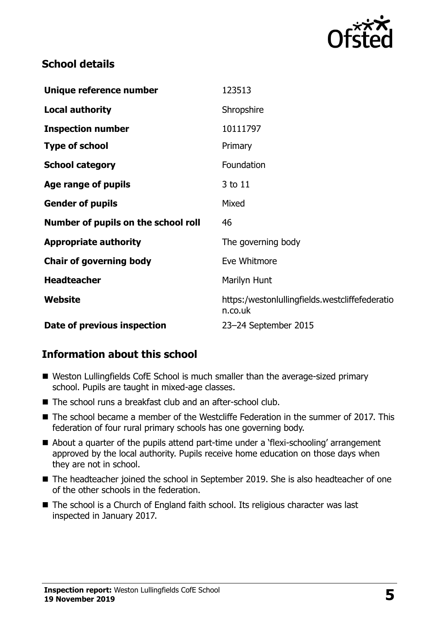

#### **School details**

| Unique reference number             | 123513                                                    |
|-------------------------------------|-----------------------------------------------------------|
| <b>Local authority</b>              | Shropshire                                                |
| <b>Inspection number</b>            | 10111797                                                  |
| <b>Type of school</b>               | Primary                                                   |
| <b>School category</b>              | Foundation                                                |
| Age range of pupils                 | 3 to 11                                                   |
| <b>Gender of pupils</b>             | Mixed                                                     |
| Number of pupils on the school roll | 46                                                        |
| <b>Appropriate authority</b>        | The governing body                                        |
| <b>Chair of governing body</b>      | Eve Whitmore                                              |
| <b>Headteacher</b>                  | Marilyn Hunt                                              |
| Website                             | https:/westonlullingfields.westcliffefederatio<br>n.co.uk |
| Date of previous inspection         | 23-24 September 2015                                      |

#### **Information about this school**

- Weston Lullingfields CofE School is much smaller than the average-sized primary school. Pupils are taught in mixed-age classes.
- The school runs a breakfast club and an after-school club.
- The school became a member of the Westcliffe Federation in the summer of 2017. This federation of four rural primary schools has one governing body.
- About a quarter of the pupils attend part-time under a 'flexi-schooling' arrangement approved by the local authority. Pupils receive home education on those days when they are not in school.
- The headteacher joined the school in September 2019. She is also headteacher of one of the other schools in the federation.
- The school is a Church of England faith school. Its religious character was last inspected in January 2017.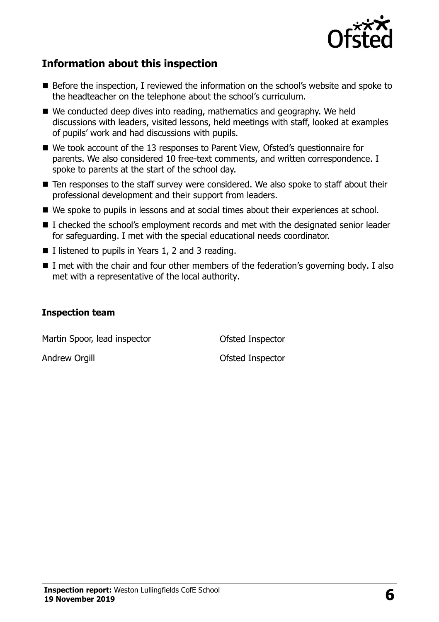

#### **Information about this inspection**

- Before the inspection, I reviewed the information on the school's website and spoke to the headteacher on the telephone about the school's curriculum.
- We conducted deep dives into reading, mathematics and geography. We held discussions with leaders, visited lessons, held meetings with staff, looked at examples of pupils' work and had discussions with pupils.
- We took account of the 13 responses to Parent View, Ofsted's questionnaire for parents. We also considered 10 free-text comments, and written correspondence. I spoke to parents at the start of the school day.
- Ten responses to the staff survey were considered. We also spoke to staff about their professional development and their support from leaders.
- We spoke to pupils in lessons and at social times about their experiences at school.
- I checked the school's employment records and met with the designated senior leader for safeguarding. I met with the special educational needs coordinator.
- I listened to pupils in Years 1, 2 and 3 reading.
- I met with the chair and four other members of the federation's governing body. I also met with a representative of the local authority.

#### **Inspection team**

Martin Spoor, lead inspector **Ofsted Inspector** 

Andrew Orgill **Andrew Orgill Contract Andrew Orgill**